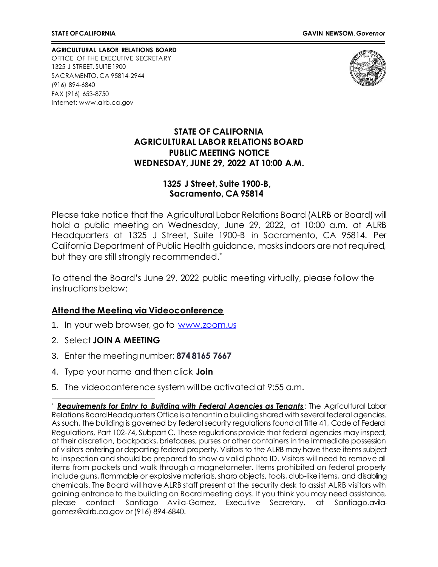**AGRICULTURAL LABOR RELATIONS BOARD** OFFICE OF THE EXECUTIVE SECRETARY 1325 J STREET, SUITE 1900 SACRAMENTO, CA 95814-2944 (916) 894-6840 FAX (916) 653-8750 Internet[: www.alrb.ca.gov](http://www.alrb.ca.gov/)



#### **STATE OF CALIFORNIA AGRICULTURAL LABOR RELATIONS BOARD PUBLIC MEETING NOTICE WEDNESDAY, JUNE 29, 2022 AT 10:00 A.M.**

#### **1325 J Street, Suite 1900-B, Sacramento, CA 95814**

Please take notice that the Agricultural Labor Relations Board (ALRB or Board) will hold a public meeting on Wednesday, June 29, 2022, at 10:00 a.m. at ALRB Headquarters at 1325 J Street, Suite 1900-B in Sacramento, CA 95814. Per California Department of Public Health guidance, masks indoors are not required, but they are still strongly recommended. \*

To attend the Board's June 29, 2022 public meeting virtually, please follow the instructions below:

#### **Attend the Meeting via Videoconference**

- 1. In your web browser, go to [www.zoom.us](http://www.zoom.us/)
- 2. Select **JOIN A MEETING**
- 3. Enter the meeting number: **874 8165 7667**
- 4. Type your name and then click **Join**
- 5. The videoconference system will be activated at 9:55 a.m.

**Requirements for Entry to Building with Federal Agencies as Tenants:** The Agricultural Labor Relations Board Headquarters Office is a tenant in a building shared with several federal agencies. As such, the building is governed by federal security regulations found at Title 41, Code of Federal Regulations, Part 102-74, Subpart C. These regulations provide that federal agencies may inspect, at their discretion, backpacks, briefcases, purses or other containers in the immediate possession of visitors entering or departing federal property. Visitors to the ALRB may have these items subject to inspection and should be prepared to show a valid photo ID. Visitors will need to remove all items from pockets and walk through a magnetometer. Items prohibited on federal property include guns, flammable or explosive materials, sharp objects, tools, club-like items, and disabling chemicals. The Board will have ALRB staff present at the security desk to assist ALRB visitors with gaining entrance to the building on Board meeting days. If you think you may need assistance, please contact Santiago Avila-Gomez, Executive Secretary, at Santiago.avilagomez@alrb.ca.gov or (916) 894-6840.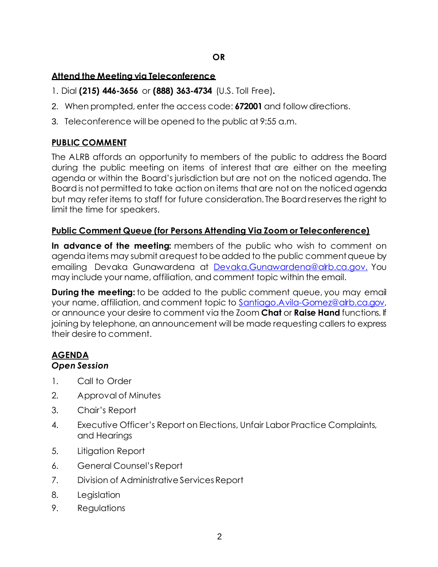### **Attend the Meeting via Teleconference**

- 1. Dial **(215) 446-3656** or **(888) 363-4734** (U.S. Toll Free)**.**
- 2. When prompted, enter the access code: **672001** and follow directions.
- 3. Teleconference will be opened to the public at 9:55 a.m.

## **PUBLIC COMMENT**

The ALRB affords an opportunity to members of the public to address the Board during the public meeting on items of interest that are either on the meeting agenda or within the Board's jurisdiction but are not on the noticed agenda. The Board is not permitted to take action on items that are not on the noticed agenda but may refer items to staff for future consideration. The Board reserves the right to limit the time for speakers.

#### **Public Comment Queue (for Persons Attending Via Zoom or Teleconference)**

**In advance of the meeting:** members of the public who wish to comment on agenda items may submit a request to be added to the public comment queue by emailing Devaka Gunawardena at [Devaka.Gunawardena@alrb.ca.gov.](mailto:Devaka.Gunawardena@alrb.ca.gov.) You may include your name, affiliation, and comment topic within the email.

**During the meeting:** to be added to the public comment queue, you may email your name, affiliation, and comment topic to [Santiago.Avila-Gomez@alrb.ca.gov,](mailto:Santiago.Avila-Gomez@alrb.ca.gov) or announce your desire to comment via the Zoom **Chat** or **Raise Hand** functions. If joining by telephone, an announcement will be made requesting callers to express their desire to comment.

# **AGENDA**

### *Open Session*

- 1. Call to Order
- 2. Approval of Minutes
- 3. Chair's Report
- 4. Executive Officer's Report on Elections, Unfair Labor Practice Complaints, and Hearings
- 5. Litigation Report
- 6. General Counsel's Report
- 7. Division of Administrative Services Report
- 8. Legislation
- 9. Regulations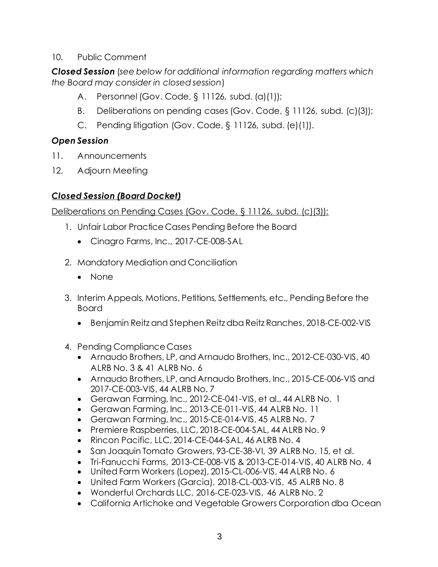### 10. Public Comment

*Closed Session* (*see below for additional information regarding matters which the Board may consider in closed session*)

- A. Personnel (Gov. Code, § 11126, subd. (a)(1));
- B. Deliberations on pending cases (Gov. Code, § 11126, subd. (c)(3));
- C. Pending litigation (Gov. Code, § 11126, subd. (e)(1)).

# *Open Session*

- 11. Announcements
- 12. Adjourn Meeting

# *Closed Session (Board Docket)*

Deliberations on Pending Cases (Gov. Code, § 11126, subd. (c)(3)):

- 1. Unfair Labor Practice Cases Pending Before the Board
	- Cinagro Farms, Inc., 2017-CE-008-SAL
- 2. Mandatory Mediation and Conciliation
	- None
- 3. Interim Appeals, Motions, Petitions, Settlements, etc., Pending Before the Board
	- Benjamin Reitz and Stephen Reitz dba Reitz Ranches, 2018-CE-002-VIS
- 4. Pending Compliance Cases
	- Arnaudo Brothers, LP, and Arnaudo Brothers, Inc., 2012-CE-030-VIS, 40 ALRB No. 3 & 41 ALRB No. 6
	- Arnaudo Brothers, LP, and Arnaudo Brothers, Inc., 2015-CE-006-VIS and 2017-CE-003-VIS, 44 ALRB No. 7
	- Gerawan Farming, Inc., 2012-CE-041-VIS, et al., 44 ALRB No. 1
	- Gerawan Farming, Inc., 2013-CE-011-VIS, 44 ALRB No. 11
	- Gerawan Farming, Inc., 2015-CE-014-VIS, 45 ALRB No. 7
	- Premiere Raspberries, LLC, 2018-CE-004-SAL, 44 ALRB No. 9
	- Rincon Pacific, LLC, 2014-CE-044-SAL, 46 ALRB No. 4
	- San Joaquin Tomato Growers, 93-CE-38-VI, 39 ALRB No. 15, et al.
	- Tri-Fanucchi Farms, 2013-CE-008-VIS & 2013-CE-014-VIS, 40 ALRB No. 4
	- United Farm Workers (Lopez), 2015-CL-006-VIS, 44 ALRB No. 6
	- United Farm Workers (Garcia), 2018-CL-003-VIS, 45 ALRB No. 8
	- Wonderful Orchards LLC, 2016-CE-023-VIS, 46 ALRB No. 2
	- California Artichoke and Vegetable Growers Corporation dba Ocean